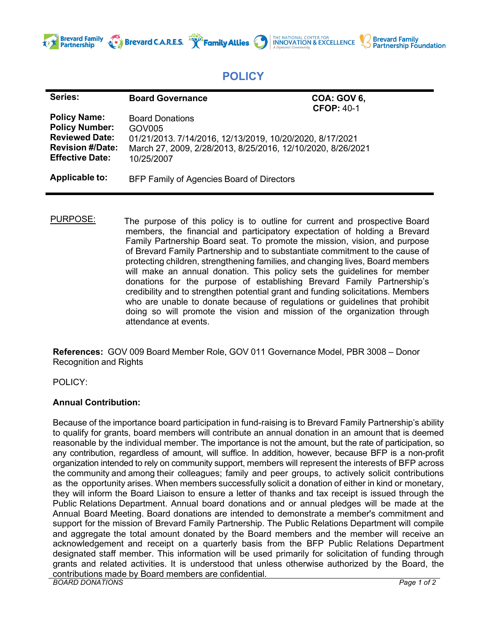

## **POLICY**

THE NATIONAL CENTER FOR<br>**INNOVATION & EXCELLENCE** 

**Brevard Family<br>Partnership Foundation** 

| Series:                                                                                                                    | <b>Board Governance</b>                                                                                                                                                   | <b>COA: GOV 6,</b><br><b>CFOP: 40-1</b> |
|----------------------------------------------------------------------------------------------------------------------------|---------------------------------------------------------------------------------------------------------------------------------------------------------------------------|-----------------------------------------|
| <b>Policy Name:</b><br><b>Policy Number:</b><br><b>Reviewed Date:</b><br><b>Revision #/Date:</b><br><b>Effective Date:</b> | <b>Board Donations</b><br>GOV005<br>01/21/2013. 7/14/2016, 12/13/2019, 10/20/2020, 8/17/2021<br>March 27, 2009, 2/28/2013, 8/25/2016, 12/10/2020, 8/26/2021<br>10/25/2007 |                                         |
| Applicable to:                                                                                                             | BFP Family of Agencies Board of Directors                                                                                                                                 |                                         |

**Brevard C.A.R.E.S.**  $\mathbb{R}^N$  **Family Allies** 

PURPOSE: The purpose of this policy is to outline for current and prospective Board members, the financial and participatory expectation of holding a Brevard Family Partnership Board seat. To promote the mission, vision, and purpose of Brevard Family Partnership and to substantiate commitment to the cause of protecting children, strengthening families, and changing lives, Board members will make an annual donation. This policy sets the guidelines for member donations for the purpose of establishing Brevard Family Partnership's credibility and to strengthen potential grant and funding solicitations. Members who are unable to donate because of regulations or guidelines that prohibit doing so will promote the vision and mission of the organization through attendance at events.

**References:** GOV 009 Board Member Role, GOV 011 Governance Model, PBR 3008 – Donor Recognition and Rights

POLICY:

## **Annual Contribution:**

*BOARD DONATIONS Page 1 of 2* Because of the importance board participation in fund-raising is to Brevard Family Partnership's ability to qualify for grants, board members will contribute an annual donation in an amount that is deemed reasonable by the individual member. The importance is not the amount, but the rate of participation, so any contribution, regardless of amount, will suffice. In addition, however, because BFP is a non-profit organization intended to rely on community support, members will represent the interests of BFP across the community and among their colleagues; family and peer groups, to actively solicit contributions as the opportunity arises. When members successfully solicit a donation of either in kind or monetary, they will inform the Board Liaison to ensure a letter of thanks and tax receipt is issued through the Public Relations Department. Annual board donations and or annual pledges will be made at the Annual Board Meeting. Board donations are intended to demonstrate a member's commitment and support for the mission of Brevard Family Partnership. The Public Relations Department will compile and aggregate the total amount donated by the Board members and the member will receive an acknowledgement and receipt on a quarterly basis from the BFP Public Relations Department designated staff member. This information will be used primarily for solicitation of funding through grants and related activities. It is understood that unless otherwise authorized by the Board, the contributions made by Board members are confidential.